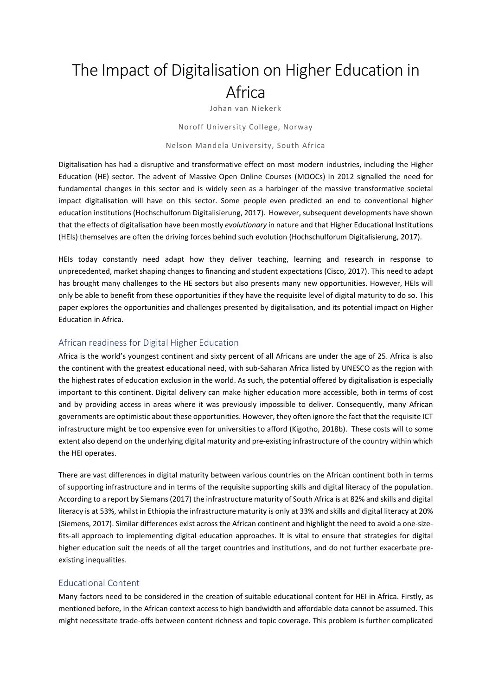# The Impact of Digitalisation on Higher Education in Africa

Johan van Niekerk

Noroff University College, Norway

#### Nelson Mandela University, South Africa

Digitalisation has had a disruptive and transformative effect on most modern industries, including the Higher Education (HE) sector. The advent of Massive Open Online Courses (MOOCs) in 2012 signalled the need for fundamental changes in this sector and is widely seen as a harbinger of the massive transformative societal impact digitalisation will have on this sector. Some people even predicted an end to conventional higher education institutions (Hochschulforum Digitalisierung, 2017). However, subsequent developments have shown that the effects of digitalisation have been mostly evolutionary in nature and that Higher Educational Institutions (HEIs) themselves are often the driving forces behind such evolution (Hochschulforum Digitalisierung, 2017).

HEIs today constantly need adapt how they deliver teaching, learning and research in response to unprecedented, market shaping changes to financing and student expectations (Cisco, 2017). This need to adapt has brought many challenges to the HE sectors but also presents many new opportunities. However, HEIs will only be able to benefit from these opportunities if they have the requisite level of digital maturity to do so. This paper explores the opportunities and challenges presented by digitalisation, and its potential impact on Higher Education in Africa.

#### African readiness for Digital Higher Education

Africa is the world's youngest continent and sixty percent of all Africans are under the age of 25. Africa is also the continent with the greatest educational need, with sub-Saharan Africa listed by UNESCO as the region with the highest rates of education exclusion in the world. As such, the potential offered by digitalisation is especially important to this continent. Digital delivery can make higher education more accessible, both in terms of cost and by providing access in areas where it was previously impossible to deliver. Consequently, many African governments are optimistic about these opportunities. However, they often ignore the fact that the requisite ICT infrastructure might be too expensive even for universities to afford (Kigotho, 2018b). These costs will to some extent also depend on the underlying digital maturity and pre-existing infrastructure of the country within which the HEI operates.

There are vast differences in digital maturity between various countries on the African continent both in terms of supporting infrastructure and in terms of the requisite supporting skills and digital literacy of the population. According to a report by Siemans (2017) the infrastructure maturity of South Africa is at 82% and skills and digital literacy is at 53%, whilst in Ethiopia the infrastructure maturity is only at 33% and skills and digital literacy at 20% (Siemens, 2017). Similar differences exist across the African continent and highlight the need to avoid a one-sizefits-all approach to implementing digital education approaches. It is vital to ensure that strategies for digital higher education suit the needs of all the target countries and institutions, and do not further exacerbate preexisting inequalities.

## Educational Content

Many factors need to be considered in the creation of suitable educational content for HEI in Africa. Firstly, as mentioned before, in the African context access to high bandwidth and affordable data cannot be assumed. This might necessitate trade-offs between content richness and topic coverage. This problem is further complicated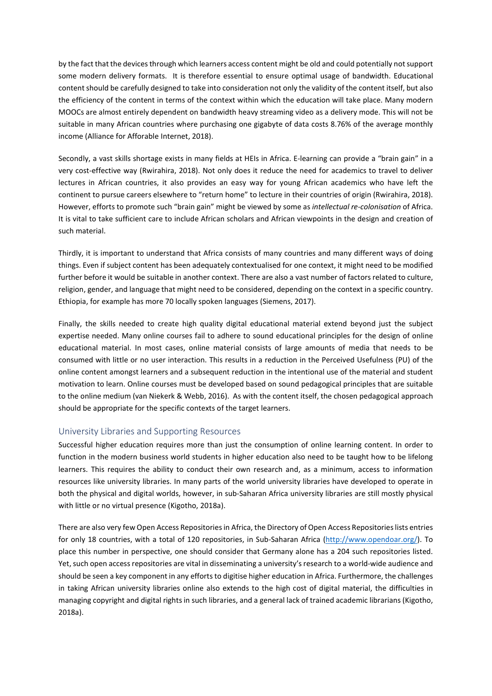by the fact that the devices through which learners access content might be old and could potentially not support some modern delivery formats. It is therefore essential to ensure optimal usage of bandwidth. Educational content should be carefully designed to take into consideration not only the validity of the content itself, but also the efficiency of the content in terms of the context within which the education will take place. Many modern MOOCs are almost entirely dependent on bandwidth heavy streaming video as a delivery mode. This will not be suitable in many African countries where purchasing one gigabyte of data costs 8.76% of the average monthly income (Alliance for Afforable Internet, 2018).

Secondly, a vast skills shortage exists in many fields at HEIs in Africa. E-learning can provide a "brain gain" in a very cost-effective way (Rwirahira, 2018). Not only does it reduce the need for academics to travel to deliver lectures in African countries, it also provides an easy way for young African academics who have left the continent to pursue careers elsewhere to "return home" to lecture in their countries of origin (Rwirahira, 2018). However, efforts to promote such "brain gain" might be viewed by some as intellectual re-colonisation of Africa. It is vital to take sufficient care to include African scholars and African viewpoints in the design and creation of such material.

Thirdly, it is important to understand that Africa consists of many countries and many different ways of doing things. Even if subject content has been adequately contextualised for one context, it might need to be modified further before it would be suitable in another context. There are also a vast number of factors related to culture, religion, gender, and language that might need to be considered, depending on the context in a specific country. Ethiopia, for example has more 70 locally spoken languages (Siemens, 2017).

Finally, the skills needed to create high quality digital educational material extend beyond just the subject expertise needed. Many online courses fail to adhere to sound educational principles for the design of online educational material. In most cases, online material consists of large amounts of media that needs to be consumed with little or no user interaction. This results in a reduction in the Perceived Usefulness (PU) of the online content amongst learners and a subsequent reduction in the intentional use of the material and student motivation to learn. Online courses must be developed based on sound pedagogical principles that are suitable to the online medium (van Niekerk & Webb, 2016). As with the content itself, the chosen pedagogical approach should be appropriate for the specific contexts of the target learners.

## University Libraries and Supporting Resources

Successful higher education requires more than just the consumption of online learning content. In order to function in the modern business world students in higher education also need to be taught how to be lifelong learners. This requires the ability to conduct their own research and, as a minimum, access to information resources like university libraries. In many parts of the world university libraries have developed to operate in both the physical and digital worlds, however, in sub-Saharan Africa university libraries are still mostly physical with little or no virtual presence (Kigotho, 2018a).

There are also very few Open Access Repositories in Africa, the Directory of Open Access Repositories lists entries for only 18 countries, with a total of 120 repositories, in Sub-Saharan Africa (http://www.opendoar.org/). To place this number in perspective, one should consider that Germany alone has a 204 such repositories listed. Yet, such open access repositories are vital in disseminating a university's research to a world-wide audience and should be seen a key component in any efforts to digitise higher education in Africa. Furthermore, the challenges in taking African university libraries online also extends to the high cost of digital material, the difficulties in managing copyright and digital rights in such libraries, and a general lack of trained academic librarians (Kigotho, 2018a).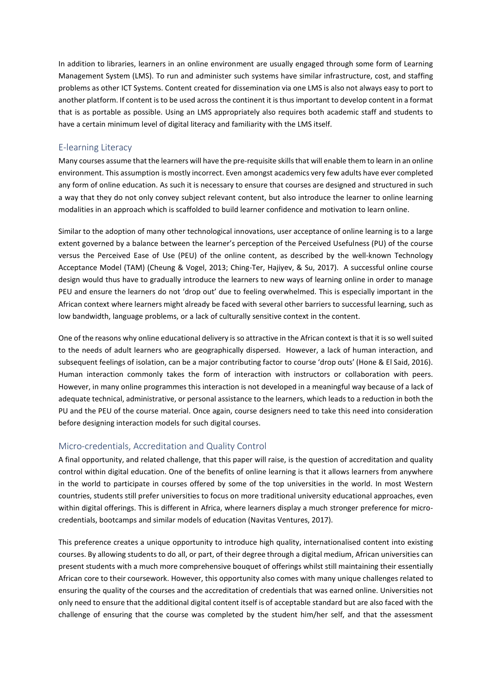In addition to libraries, learners in an online environment are usually engaged through some form of Learning Management System (LMS). To run and administer such systems have similar infrastructure, cost, and staffing problems as other ICT Systems. Content created for dissemination via one LMS is also not always easy to port to another platform. If content is to be used across the continent it is thus important to develop content in a format that is as portable as possible. Using an LMS appropriately also requires both academic staff and students to have a certain minimum level of digital literacy and familiarity with the LMS itself.

## E-learning Literacy

Many courses assume that the learners will have the pre-requisite skills that will enable them to learn in an online environment. This assumption is mostly incorrect. Even amongst academics very few adults have ever completed any form of online education. As such it is necessary to ensure that courses are designed and structured in such a way that they do not only convey subject relevant content, but also introduce the learner to online learning modalities in an approach which is scaffolded to build learner confidence and motivation to learn online.

Similar to the adoption of many other technological innovations, user acceptance of online learning is to a large extent governed by a balance between the learner's perception of the Perceived Usefulness (PU) of the course versus the Perceived Ease of Use (PEU) of the online content, as described by the well-known Technology Acceptance Model (TAM) (Cheung & Vogel, 2013; Ching-Ter, Hajiyev, & Su, 2017). A successful online course design would thus have to gradually introduce the learners to new ways of learning online in order to manage PEU and ensure the learners do not 'drop out' due to feeling overwhelmed. This is especially important in the African context where learners might already be faced with several other barriers to successful learning, such as low bandwidth, language problems, or a lack of culturally sensitive context in the content.

One of the reasons why online educational delivery is so attractive in the African context is that it is so well suited to the needs of adult learners who are geographically dispersed. However, a lack of human interaction, and subsequent feelings of isolation, can be a major contributing factor to course 'drop outs' (Hone & El Said, 2016). Human interaction commonly takes the form of interaction with instructors or collaboration with peers. However, in many online programmes this interaction is not developed in a meaningful way because of a lack of adequate technical, administrative, or personal assistance to the learners, which leads to a reduction in both the PU and the PEU of the course material. Once again, course designers need to take this need into consideration before designing interaction models for such digital courses.

## Micro-credentials, Accreditation and Quality Control

A final opportunity, and related challenge, that this paper will raise, is the question of accreditation and quality control within digital education. One of the benefits of online learning is that it allows learners from anywhere in the world to participate in courses offered by some of the top universities in the world. In most Western countries, students still prefer universities to focus on more traditional university educational approaches, even within digital offerings. This is different in Africa, where learners display a much stronger preference for microcredentials, bootcamps and similar models of education (Navitas Ventures, 2017).

This preference creates a unique opportunity to introduce high quality, internationalised content into existing courses. By allowing students to do all, or part, of their degree through a digital medium, African universities can present students with a much more comprehensive bouquet of offerings whilst still maintaining their essentially African core to their coursework. However, this opportunity also comes with many unique challenges related to ensuring the quality of the courses and the accreditation of credentials that was earned online. Universities not only need to ensure that the additional digital content itself is of acceptable standard but are also faced with the challenge of ensuring that the course was completed by the student him/her self, and that the assessment